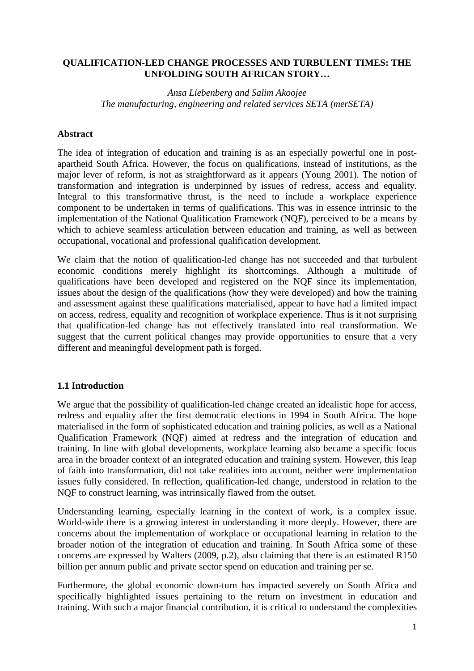# **QUALIFICATION-LED CHANGE PROCESSES AND TURBULENT TIMES: THE UNFOLDING SOUTH AFRICAN STORY…**

# *Ansa Liebenberg and Salim Akoojee The manufacturing, engineering and related services SETA (merSETA)*

## **Abstract**

The idea of integration of education and training is as an especially powerful one in postapartheid South Africa. However, the focus on qualifications, instead of institutions, as the major lever of reform, is not as straightforward as it appears (Young 2001). The notion of transformation and integration is underpinned by issues of redress, access and equality. Integral to this transformative thrust, is the need to include a workplace experience component to be undertaken in terms of qualifications. This was in essence intrinsic to the implementation of the National Qualification Framework (NQF), perceived to be a means by which to achieve seamless articulation between education and training, as well as between occupational, vocational and professional qualification development.

We claim that the notion of qualification-led change has not succeeded and that turbulent economic conditions merely highlight its shortcomings. Although a multitude of qualifications have been developed and registered on the NQF since its implementation, issues about the design of the qualifications (how they were developed) and how the training and assessment against these qualifications materialised, appear to have had a limited impact on access, redress, equality and recognition of workplace experience. Thus is it not surprising that qualification-led change has not effectively translated into real transformation. We suggest that the current political changes may provide opportunities to ensure that a very different and meaningful development path is forged.

### **1.1 Introduction**

We argue that the possibility of qualification-led change created an idealistic hope for access, redress and equality after the first democratic elections in 1994 in South Africa. The hope materialised in the form of sophisticated education and training policies, as well as a National Qualification Framework (NQF) aimed at redress and the integration of education and training. In line with global developments, workplace learning also became a specific focus area in the broader context of an integrated education and training system. However, this leap of faith into transformation, did not take realities into account, neither were implementation issues fully considered. In reflection, qualification-led change, understood in relation to the NQF to construct learning, was intrinsically flawed from the outset.

Understanding learning, especially learning in the context of work, is a complex issue. World-wide there is a growing interest in understanding it more deeply. However, there are concerns about the implementation of workplace or occupational learning in relation to the broader notion of the integration of education and training. In South Africa some of these concerns are expressed by Walters (2009, p.2), also claiming that there is an estimated R150 billion per annum public and private sector spend on education and training per se.

Furthermore, the global economic down-turn has impacted severely on South Africa and specifically highlighted issues pertaining to the return on investment in education and training. With such a major financial contribution, it is critical to understand the complexities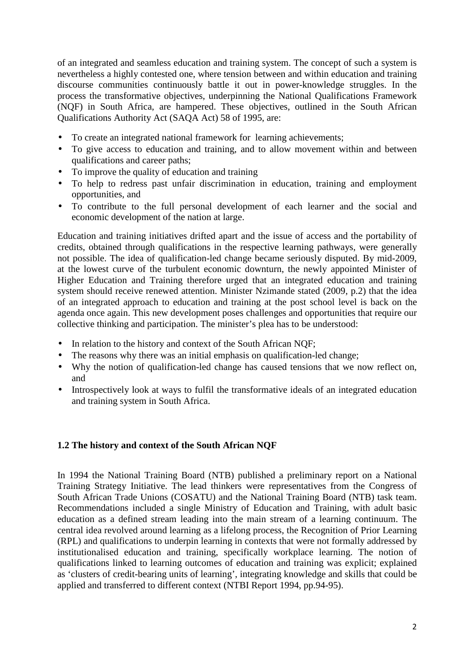of an integrated and seamless education and training system. The concept of such a system is nevertheless a highly contested one, where tension between and within education and training discourse communities continuously battle it out in power-knowledge struggles. In the process the transformative objectives, underpinning the National Qualifications Framework (NQF) in South Africa, are hampered. These objectives, outlined in the South African Qualifications Authority Act (SAQA Act) 58 of 1995, are:

- To create an integrated national framework for learning achievements;
- To give access to education and training, and to allow movement within and between qualifications and career paths;
- To improve the quality of education and training
- To help to redress past unfair discrimination in education, training and employment opportunities, and
- To contribute to the full personal development of each learner and the social and economic development of the nation at large.

Education and training initiatives drifted apart and the issue of access and the portability of credits, obtained through qualifications in the respective learning pathways, were generally not possible. The idea of qualification-led change became seriously disputed. By mid-2009, at the lowest curve of the turbulent economic downturn, the newly appointed Minister of Higher Education and Training therefore urged that an integrated education and training system should receive renewed attention. Minister Nzimande stated (2009, p.2) that the idea of an integrated approach to education and training at the post school level is back on the agenda once again. This new development poses challenges and opportunities that require our collective thinking and participation. The minister's plea has to be understood:

- In relation to the history and context of the South African NQF;
- The reasons why there was an initial emphasis on qualification-led change;
- Why the notion of qualification-led change has caused tensions that we now reflect on, and
- Introspectively look at ways to fulfil the transformative ideals of an integrated education and training system in South Africa.

### **1.2 The history and context of the South African NQF**

In 1994 the National Training Board (NTB) published a preliminary report on a National Training Strategy Initiative. The lead thinkers were representatives from the Congress of South African Trade Unions (COSATU) and the National Training Board (NTB) task team. Recommendations included a single Ministry of Education and Training, with adult basic education as a defined stream leading into the main stream of a learning continuum. The central idea revolved around learning as a lifelong process, the Recognition of Prior Learning (RPL) and qualifications to underpin learning in contexts that were not formally addressed by institutionalised education and training, specifically workplace learning. The notion of qualifications linked to learning outcomes of education and training was explicit; explained as 'clusters of credit-bearing units of learning', integrating knowledge and skills that could be applied and transferred to different context (NTBI Report 1994, pp.94-95).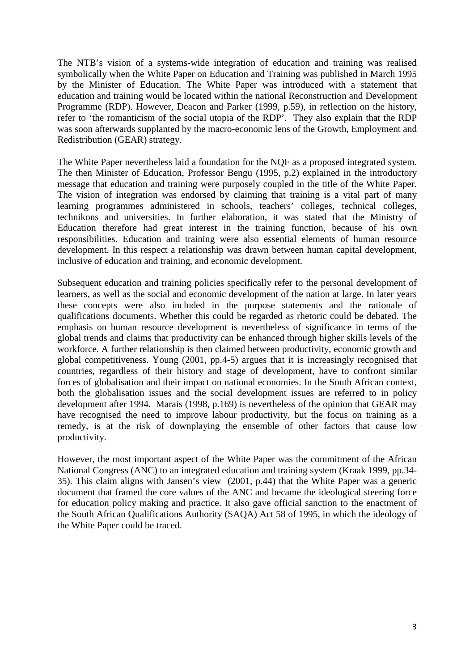The NTB's vision of a systems-wide integration of education and training was realised symbolically when the White Paper on Education and Training was published in March 1995 by the Minister of Education. The White Paper was introduced with a statement that education and training would be located within the national Reconstruction and Development Programme (RDP). However, Deacon and Parker (1999, p.59), in reflection on the history, refer to 'the romanticism of the social utopia of the RDP'. They also explain that the RDP was soon afterwards supplanted by the macro-economic lens of the Growth, Employment and Redistribution (GEAR) strategy.

The White Paper nevertheless laid a foundation for the NQF as a proposed integrated system. The then Minister of Education, Professor Bengu (1995, p.2) explained in the introductory message that education and training were purposely coupled in the title of the White Paper. The vision of integration was endorsed by claiming that training is a vital part of many learning programmes administered in schools, teachers' colleges, technical colleges, technikons and universities. In further elaboration, it was stated that the Ministry of Education therefore had great interest in the training function, because of his own responsibilities. Education and training were also essential elements of human resource development. In this respect a relationship was drawn between human capital development, inclusive of education and training, and economic development.

Subsequent education and training policies specifically refer to the personal development of learners, as well as the social and economic development of the nation at large. In later years these concepts were also included in the purpose statements and the rationale of qualifications documents. Whether this could be regarded as rhetoric could be debated. The emphasis on human resource development is nevertheless of significance in terms of the global trends and claims that productivity can be enhanced through higher skills levels of the workforce. A further relationship is then claimed between productivity, economic growth and global competitiveness. Young (2001, pp.4-5) argues that it is increasingly recognised that countries, regardless of their history and stage of development, have to confront similar forces of globalisation and their impact on national economies. In the South African context, both the globalisation issues and the social development issues are referred to in policy development after 1994. Marais (1998, p.169) is nevertheless of the opinion that GEAR may have recognised the need to improve labour productivity, but the focus on training as a remedy, is at the risk of downplaying the ensemble of other factors that cause low productivity.

However, the most important aspect of the White Paper was the commitment of the African National Congress (ANC) to an integrated education and training system (Kraak 1999, pp.34- 35). This claim aligns with Jansen's view (2001, p.44) that the White Paper was a generic document that framed the core values of the ANC and became the ideological steering force for education policy making and practice. It also gave official sanction to the enactment of the South African Qualifications Authority (SAQA) Act 58 of 1995, in which the ideology of the White Paper could be traced.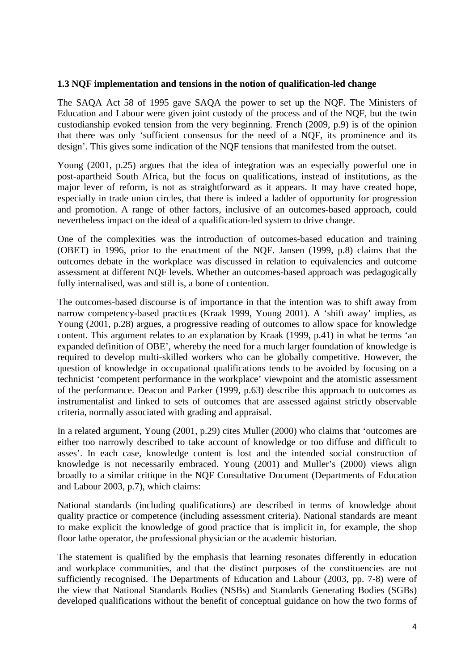### **1.3 NQF implementation and tensions in the notion of qualification-led change**

The SAQA Act 58 of 1995 gave SAQA the power to set up the NQF. The Ministers of Education and Labour were given joint custody of the process and of the NQF, but the twin custodianship evoked tension from the very beginning. French (2009, p.9) is of the opinion that there was only 'sufficient consensus for the need of a NQF, its prominence and its design'. This gives some indication of the NQF tensions that manifested from the outset.

Young (2001, p.25) argues that the idea of integration was an especially powerful one in post-apartheid South Africa, but the focus on qualifications, instead of institutions, as the major lever of reform, is not as straightforward as it appears. It may have created hope, especially in trade union circles, that there is indeed a ladder of opportunity for progression and promotion. A range of other factors, inclusive of an outcomes-based approach, could nevertheless impact on the ideal of a qualification-led system to drive change.

One of the complexities was the introduction of outcomes-based education and training (OBET) in 1996, prior to the enactment of the NQF. Jansen (1999, p.8) claims that the outcomes debate in the workplace was discussed in relation to equivalencies and outcome assessment at different NQF levels. Whether an outcomes-based approach was pedagogically fully internalised, was and still is, a bone of contention.

The outcomes-based discourse is of importance in that the intention was to shift away from narrow competency-based practices (Kraak 1999, Young 2001). A 'shift away' implies, as Young (2001, p.28) argues, a progressive reading of outcomes to allow space for knowledge content. This argument relates to an explanation by Kraak (1999, p.41) in what he terms 'an expanded definition of OBE', whereby the need for a much larger foundation of knowledge is required to develop multi-skilled workers who can be globally competitive. However, the question of knowledge in occupational qualifications tends to be avoided by focusing on a technicist 'competent performance in the workplace' viewpoint and the atomistic assessment of the performance. Deacon and Parker (1999, p.63) describe this approach to outcomes as instrumentalist and linked to sets of outcomes that are assessed against strictly observable criteria, normally associated with grading and appraisal.

In a related argument, Young (2001, p.29) cites Muller (2000) who claims that 'outcomes are either too narrowly described to take account of knowledge or too diffuse and difficult to asses'. In each case, knowledge content is lost and the intended social construction of knowledge is not necessarily embraced. Young (2001) and Muller's (2000) views align broadly to a similar critique in the NQF Consultative Document (Departments of Education and Labour 2003, p.7), which claims:

National standards (including qualifications) are described in terms of knowledge about quality practice or competence (including assessment criteria). National standards are meant to make explicit the knowledge of good practice that is implicit in, for example, the shop floor lathe operator, the professional physician or the academic historian.

The statement is qualified by the emphasis that learning resonates differently in education and workplace communities, and that the distinct purposes of the constituencies are not sufficiently recognised. The Departments of Education and Labour (2003, pp. 7-8) were of the view that National Standards Bodies (NSBs) and Standards Generating Bodies (SGBs) developed qualifications without the benefit of conceptual guidance on how the two forms of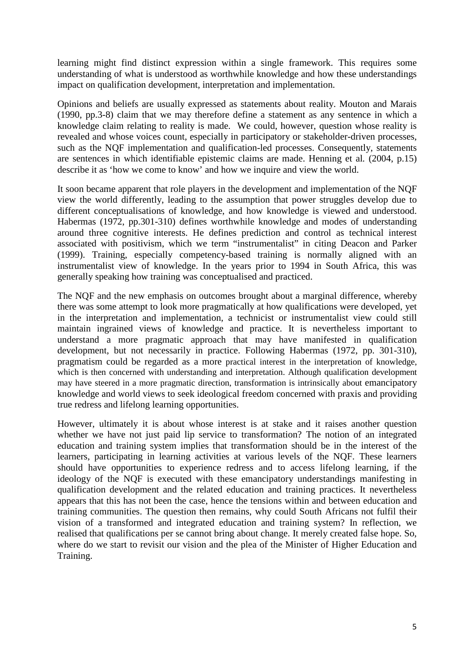learning might find distinct expression within a single framework. This requires some understanding of what is understood as worthwhile knowledge and how these understandings impact on qualification development, interpretation and implementation.

Opinions and beliefs are usually expressed as statements about reality. Mouton and Marais (1990, pp.3-8) claim that we may therefore define a statement as any sentence in which a knowledge claim relating to reality is made. We could, however, question whose reality is revealed and whose voices count, especially in participatory or stakeholder-driven processes, such as the NQF implementation and qualification-led processes. Consequently, statements are sentences in which identifiable epistemic claims are made. Henning et al*.* (2004, p.15) describe it as 'how we come to know' and how we inquire and view the world.

It soon became apparent that role players in the development and implementation of the NQF view the world differently, leading to the assumption that power struggles develop due to different conceptualisations of knowledge, and how knowledge is viewed and understood. Habermas (1972, pp.301-310) defines worthwhile knowledge and modes of understanding around three cognitive interests. He defines prediction and control as technical interest associated with positivism, which we term "instrumentalist" in citing Deacon and Parker (1999). Training, especially competency-based training is normally aligned with an instrumentalist view of knowledge. In the years prior to 1994 in South Africa, this was generally speaking how training was conceptualised and practiced.

The NQF and the new emphasis on outcomes brought about a marginal difference, whereby there was some attempt to look more pragmatically at how qualifications were developed, yet in the interpretation and implementation, a technicist or instrumentalist view could still maintain ingrained views of knowledge and practice. It is nevertheless important to understand a more pragmatic approach that may have manifested in qualification development, but not necessarily in practice. Following Habermas (1972, pp. 301-310), pragmatism could be regarded as a more practical interest in the interpretation of knowledge, which is then concerned with understanding and interpretation. Although qualification development may have steered in a more pragmatic direction, transformation is intrinsically about emancipatory knowledge and world views to seek ideological freedom concerned with praxis and providing true redress and lifelong learning opportunities.

However, ultimately it is about whose interest is at stake and it raises another question whether we have not just paid lip service to transformation? The notion of an integrated education and training system implies that transformation should be in the interest of the learners, participating in learning activities at various levels of the NQF. These learners should have opportunities to experience redress and to access lifelong learning, if the ideology of the NQF is executed with these emancipatory understandings manifesting in qualification development and the related education and training practices. It nevertheless appears that this has not been the case, hence the tensions within and between education and training communities. The question then remains, why could South Africans not fulfil their vision of a transformed and integrated education and training system? In reflection, we realised that qualifications per se cannot bring about change. It merely created false hope. So, where do we start to revisit our vision and the plea of the Minister of Higher Education and Training.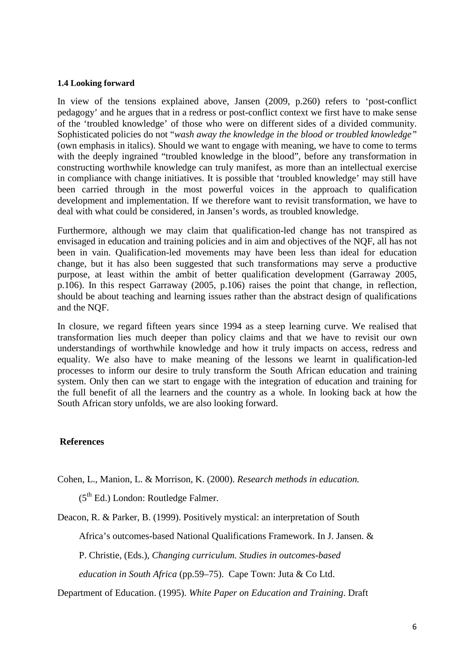#### **1.4 Looking forward**

In view of the tensions explained above, Jansen (2009, p.260) refers to 'post-conflict pedagogy' and he argues that in a redress or post-conflict context we first have to make sense of the 'troubled knowledge' of those who were on different sides of a divided community. Sophisticated policies do not "*wash away the knowledge in the blood or troubled knowledge"* (own emphasis in italics). Should we want to engage with meaning, we have to come to terms with the deeply ingrained "troubled knowledge in the blood", before any transformation in constructing worthwhile knowledge can truly manifest, as more than an intellectual exercise in compliance with change initiatives. It is possible that 'troubled knowledge' may still have been carried through in the most powerful voices in the approach to qualification development and implementation. If we therefore want to revisit transformation, we have to deal with what could be considered, in Jansen's words, as troubled knowledge.

Furthermore, although we may claim that qualification-led change has not transpired as envisaged in education and training policies and in aim and objectives of the NQF, all has not been in vain. Qualification-led movements may have been less than ideal for education change, but it has also been suggested that such transformations may serve a productive purpose, at least within the ambit of better qualification development (Garraway 2005, p.106). In this respect Garraway (2005, p.106) raises the point that change, in reflection, should be about teaching and learning issues rather than the abstract design of qualifications and the NQF.

In closure, we regard fifteen years since 1994 as a steep learning curve. We realised that transformation lies much deeper than policy claims and that we have to revisit our own understandings of worthwhile knowledge and how it truly impacts on access, redress and equality. We also have to make meaning of the lessons we learnt in qualification-led processes to inform our desire to truly transform the South African education and training system. Only then can we start to engage with the integration of education and training for the full benefit of all the learners and the country as a whole. In looking back at how the South African story unfolds, we are also looking forward.

### **References**

Cohen, L., Manion, L. & Morrison, K. (2000). *Research methods in education.* 

 $(5<sup>th</sup> Ed.)$  London: Routledge Falmer.

Deacon, R. & Parker, B. (1999). Positively mystical: an interpretation of South

Africa's outcomes-based National Qualifications Framework. In J. Jansen. &

P. Christie, (Eds.), *Changing curriculum. Studies in outcomes-based* 

 *education in South Africa* (pp.59–75).Cape Town: Juta & Co Ltd.

Department of Education. (1995). *White Paper on Education and Training*. Draft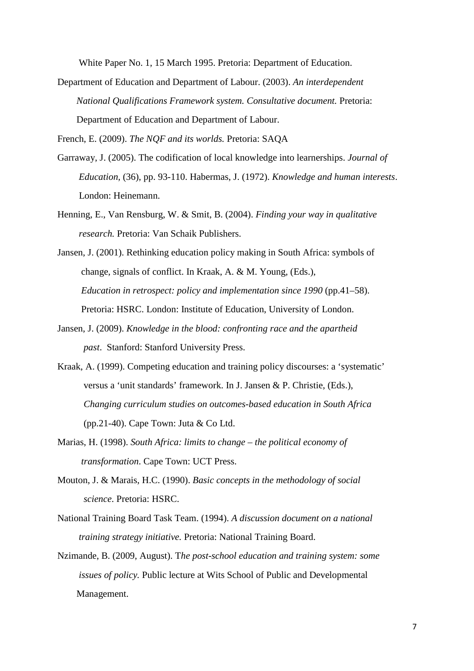White Paper No. 1, 15 March 1995. Pretoria: Department of Education.

Department of Education and Department of Labour. (2003). *An interdependent National Qualifications Framework system. Consultative document.* Pretoria: Department of Education and Department of Labour.

French, E. (2009). *The NQF and its worlds.* Pretoria: SAQA

- Garraway, J. (2005). The codification of local knowledge into learnerships. *Journal of Education,* (36), pp. 93-110. Habermas, J. (1972). *Knowledge and human interests*. London: Heinemann.
- Henning, E., Van Rensburg, W. & Smit, B. (2004). *Finding your way in qualitative research.* Pretoria: Van Schaik Publishers.
- Jansen, J. (2001). Rethinking education policy making in South Africa: symbols of change, signals of conflict. In Kraak, A. & M. Young, (Eds.), *Education in retrospect: policy and implementation since 1990 (pp.41–58).* Pretoria: HSRC. London: Institute of Education, University of London.
- Jansen, J. (2009). *Knowledge in the blood: confronting race and the apartheid past*. Stanford: Stanford University Press.
- Kraak, A. (1999). Competing education and training policy discourses: a 'systematic' versus a 'unit standards' framework. In J. Jansen & P. Christie, (Eds.), *Changing curriculum studies on outcomes-based education in South Africa*  (pp.21-40). Cape Town: Juta  $& Co$  Ltd.
- Marias, H. (1998). *South Africa: limits to change the political economy of transformation*. Cape Town: UCT Press.
- Mouton, J. & Marais, H.C. (1990). *Basic concepts in the methodology of social science*. Pretoria: HSRC.
- National Training Board Task Team. (1994). *A discussion document on a national training strategy initiative.* Pretoria: National Training Board.
- Nzimande, B. (2009, August). T*he post-school education and training system: some issues of policy.* Public lecture at Wits School of Public and Developmental Management.